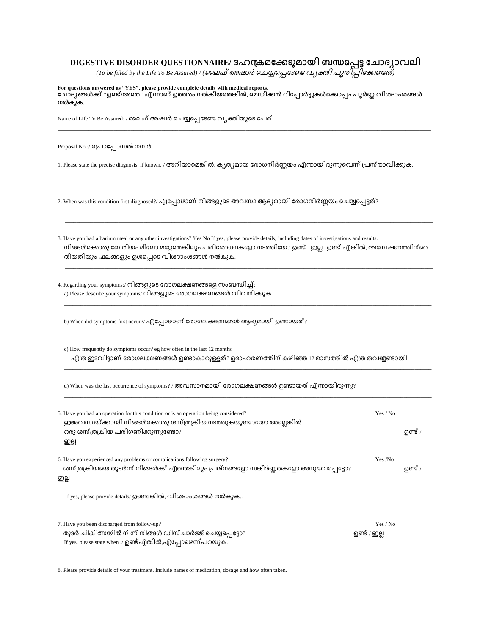## DIGESTIVE DISORDER QUESTIONNAIRE/ ദഹന്ദ്രമക്കേടുമായി ബന്ധപ്പെട്ട ചോദ്യാവലി

(To be filled by the Life To Be Assured) / (ലൈഫ് അഷ്വർ ചെയ്യപ്പെടേണ്ട വ്യക്തി പുരിപ്പിക്കേണ്ടത്)

**For questions answered as "YES", please provide complete details with medical reports. " / " , .**

\_\_\_\_\_\_\_\_\_\_\_\_\_\_\_\_\_\_\_\_\_\_\_\_\_\_\_\_\_\_\_\_\_\_\_\_\_\_\_\_\_\_\_\_\_\_\_\_\_\_\_\_\_\_\_\_\_\_\_\_\_\_\_\_\_\_\_\_\_\_\_\_\_\_\_\_\_\_\_\_\_\_\_\_\_\_\_\_\_\_\_\_\_\_\_\_\_\_\_\_\_\_\_\_\_\_\_\_\_\_\_\_\_\_\_\_\_\_\_\_\_\_\_\_\_\_\_\_\_\_\_\_\_

\_\_\_\_\_\_\_\_\_\_\_\_\_\_\_\_\_\_\_\_\_\_\_\_\_\_\_\_\_\_\_\_\_\_\_\_\_\_\_\_\_\_\_\_\_\_\_\_\_\_\_\_\_\_\_\_\_\_\_\_\_\_\_\_\_\_\_\_\_\_\_\_\_\_\_\_\_\_\_\_\_\_\_\_\_\_\_\_\_\_\_\_\_\_\_\_\_\_\_\_\_\_\_\_\_\_\_\_\_\_\_\_\_\_\_\_\_\_\_\_\_\_\_\_\_\_\_\_\_\_\_

\_\_\_\_\_\_\_\_\_\_\_\_\_\_\_\_\_\_\_\_\_\_\_\_\_\_\_\_\_\_\_\_\_\_\_\_\_\_\_\_\_\_\_\_\_\_\_\_\_\_\_\_\_\_\_\_\_\_\_\_\_\_\_\_\_\_\_\_\_\_\_\_\_\_\_\_\_\_\_\_\_\_\_\_\_\_\_\_\_\_\_\_\_\_\_\_\_\_\_\_\_\_\_\_\_\_\_\_\_\_\_\_\_\_\_\_\_\_\_\_\_\_\_\_\_\_\_\_\_\_\_

\_\_\_\_\_\_\_\_\_\_\_\_\_\_\_\_\_\_\_\_\_\_\_\_\_\_\_\_\_\_\_\_\_\_\_\_\_\_\_\_\_\_\_\_\_\_\_\_\_\_\_\_\_\_\_\_\_\_\_\_\_\_\_\_\_\_\_\_\_\_\_\_\_\_\_\_\_\_\_\_\_\_\_\_\_\_\_\_\_\_\_\_\_\_\_\_\_\_\_\_\_\_\_\_\_\_\_\_\_\_\_\_\_\_\_\_\_\_\_\_\_\_\_\_\_\_\_\_\_\_\_

\_\_\_\_\_\_\_\_\_\_\_\_\_\_\_\_\_\_\_\_\_\_\_\_\_\_\_\_\_\_\_\_\_\_\_\_\_\_\_\_\_\_\_\_\_\_\_\_\_\_\_\_\_\_\_\_\_\_\_\_\_\_\_\_\_\_\_\_\_\_\_\_\_\_\_\_\_\_\_\_\_\_\_\_\_\_\_\_\_\_\_\_\_\_\_\_\_\_\_\_\_\_\_\_\_\_\_\_\_\_\_\_\_\_\_\_\_\_\_\_\_\_\_\_\_\_\_\_\_\_\_

\_\_\_\_\_\_\_\_\_\_\_\_\_\_\_\_\_\_\_\_\_\_\_\_\_\_\_\_\_\_\_\_\_\_\_\_\_\_\_\_\_\_\_\_\_\_\_\_\_\_\_\_\_\_\_\_\_\_\_\_\_\_\_\_\_\_\_\_\_\_\_\_\_\_\_\_\_\_\_\_\_\_\_\_\_\_\_\_\_\_\_\_\_\_\_\_\_\_\_\_\_\_\_\_\_\_\_\_\_\_\_\_\_\_\_\_\_\_\_\_\_\_\_\_\_\_\_\_\_\_\_

\_\_\_\_\_\_\_\_\_\_\_\_\_\_\_\_\_\_\_\_\_\_\_\_\_\_\_\_\_\_\_\_\_\_\_\_\_\_\_\_\_\_\_\_\_\_\_\_\_\_\_\_\_\_\_\_\_\_\_\_\_\_\_\_\_\_\_\_\_\_\_\_\_\_\_\_\_\_\_\_\_\_\_\_\_\_\_\_\_\_\_\_\_\_\_\_\_\_\_\_\_\_\_\_\_\_\_\_\_\_\_\_\_\_\_\_\_\_\_\_\_\_\_\_\_\_\_\_\_\_\_

\_\_\_\_\_\_\_\_\_\_\_\_\_\_\_\_\_\_\_\_\_\_\_\_\_\_\_\_\_\_\_\_\_\_\_\_\_\_\_\_\_\_\_\_\_\_\_\_\_\_\_\_\_\_\_\_\_\_\_\_\_\_\_\_\_\_\_\_\_\_\_\_\_\_\_\_\_\_\_\_\_\_\_\_\_\_\_\_\_\_\_\_\_\_\_\_\_\_\_\_\_\_\_\_\_\_\_\_\_\_\_\_\_\_\_\_\_\_\_\_\_\_\_\_\_\_\_\_\_\_\_

Name of Life To Be Assured: / ലൈഫ് അഷ്വർ ചെയ്യപ്പെടേണ്ട വ്യക്തിയുടെ പേര്:

Proposal No.:/ டெெக்கு

1. Please state the precise diagnosis, if known. / അറിയാമെങ്കിൽ, ക്യത്യമായ രോഗനിർണ്ണയം എന്തായിരുന്നുവെന്ന് പ്രസ്താവിക്കുക.

2. When was this condition first diagnosed?/ എപ്പോഴാണ് നിങ്ങളുടെ അവസ്ഥ ആദ്യമായി രോഗനിർണ്ണയം ചെയ്യപ്പെട്ടത്?

3. Have you had a barium meal or any other investigations? Yes No If yes, please provide details, including dates of investigations and results. നിങ്ങൾക്കൊരു ബേരിയം മീലോ മറ്റേതെങ്കിലും പരിശോധനകളോ നടത്തിയോ ഉണ്ട് . ഇല്ല . ഉണ്ട് .എങ്കിൽ, അന്വേഷണത്തിന്റെ തീയതിയും ഫലങ്ങളും ഉൾപ്പെടെ വിശദാംശങ്ങൾ നൽകുക.

4. Regarding your symptoms:/ നിങ്ങളുടെ രോഗലക്ഷണങ്ങളെ സംബന്ധിച്ച്: a) Please describe your symptoms/ നിങ്ങളുടെ രോഗലക്ഷണങ്ങൾ വിവരിക്കുക

b) When did symptoms first occur?/ എപ്പോഴാണ് രോഗലക്ഷണങ്ങൾ ആദ്യമായി ഉണ്ടായത്?

c) How frequently do symptoms occur? eg how often in the last 12 months എത്ര ഇടവിട്ടാണ് രോഗലക്ഷണങ്ങൾ ഉണ്ടാകാറുള്ളത്? ഉദാഹരണത്തിന് കഴിഞ്ഞ 12 മാസത്തിൽ എത്ര തവഞ്ഞണ്ടായി

d) When was the last occurrence of symptoms? / അവസാനമായി രോഗലക്ഷണങ്ങൾ ഉണ്ടായത് എന്നായിരുന്നു?

| 5. Have you had an operation for this condition or is an operation being considered?<br>ഇഅവസ്ഥയ്ക്കായി നിങ്ങൾക്കൊരു ശസ്ത്രക്രിയ നടത്തുകയുണ്ടായോ അല്ലെങ്കിൽ<br>ഒരു ശസ്ത്രക്രിയ പരിഗണിക്കുന്നുണ്ടോ?<br>ഇല്ല | Yes / No                 | ഉണ്ട് /        |
|-----------------------------------------------------------------------------------------------------------------------------------------------------------------------------------------------------------|--------------------------|----------------|
| 6. Have you experienced any problems or complications following surgery?<br>ശസ്ത്രക്രിയയെ തുടർന്ന് നിങ്ങൾക്ക് എന്തെങ്കിലും പ്രശ്നങ്ങളോ സങ്കീർണ്ണതകളോ അനുഭവപ്പെട്ടോ?<br>ഇല്ല                               | Yes /No                  | <b>ഉണ്ട്</b> / |
| If yes, please provide details/ ഉണ്ടെങ്കിൽ, വിശദാംശങ്ങൾ നൽകുക                                                                                                                                             |                          |                |
| 7. Have you been discharged from follow-up?<br>തുടർ ചികിത്സയിൽ നിന്ന് നിങ്ങൾ ഡിസ് ചാർജ്ജ് ചെയ്യപ്പെട്ടോ?<br>If yes, please state when ./ ഉണ്ട് എങ്കിൽ,എപ്പോഴെന്ന് പറയുക.                                  | Yes / No<br>ഉണ്ട് / ഇല്ല |                |

\_\_\_\_\_\_\_\_\_\_\_\_\_\_\_\_\_\_\_\_\_\_\_\_\_\_\_\_\_\_\_\_\_\_\_\_\_\_\_\_\_\_\_\_\_\_\_\_\_\_\_\_\_\_\_\_\_\_\_\_\_\_\_\_\_\_\_\_\_\_\_\_\_\_\_\_\_\_\_\_\_\_\_\_\_\_\_\_\_\_\_\_\_\_\_\_\_\_\_\_\_\_\_\_\_\_\_\_\_\_\_\_\_\_\_\_\_\_\_\_\_\_\_\_\_\_\_\_\_\_\_

8. Please provide details of your treatment. Include names of medication, dosage and how often taken.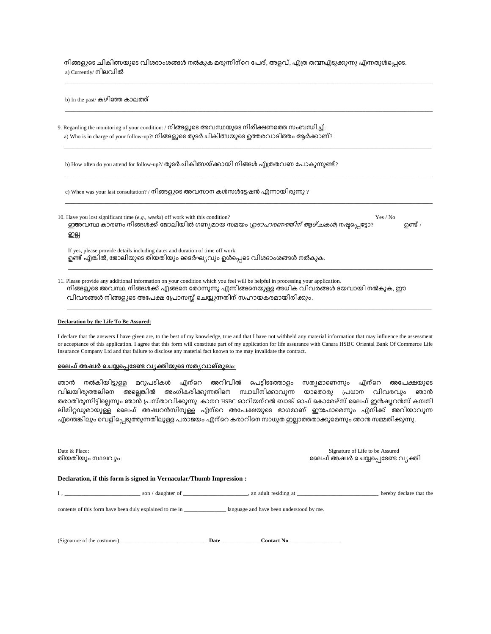നിങ്ങളുടെ ചികിത്സയുടെ വിശദാംശങ്ങൾ നൽകുക മരുന്നിന്റെ പേര്, അളവ്, എത്ര തന്മ്പഎടുക്കുന്നു എന്നതുൾപ്പെടെ. a) Currently/ നിലവിൽ

\_\_\_\_\_\_\_\_\_\_\_\_\_\_\_\_\_\_\_\_\_\_\_\_\_\_\_\_\_\_\_\_\_\_\_\_\_\_\_\_\_\_\_\_\_\_\_\_\_\_\_\_\_\_\_\_\_\_\_\_\_\_\_\_\_\_\_\_\_\_\_\_\_\_\_\_\_\_\_\_\_\_\_\_\_\_\_\_\_\_\_\_\_\_\_\_\_\_\_\_\_\_\_\_\_\_\_\_\_\_\_\_\_\_\_\_\_\_\_\_\_\_\_\_\_\_\_\_\_\_\_

| b) In the past/ കഴിഞ്ഞ കാലത്ത്                                                                                                                                                                    |                |
|---------------------------------------------------------------------------------------------------------------------------------------------------------------------------------------------------|----------------|
| 9. Regarding the monitoring of your condition: / നിങ്ങളുടെ അവസ്ഥയുടെ നിരീക്ഷണത്തെ സംബന്ധിച്ച്:<br>a) Who is in charge of your follow-up?/ നിങ്ങളുടെ തുടർചികിത്സയുടെ ഉത്തരവാദിത്തം ആർക്കാണ്?       |                |
| b) How often do you attend for follow-up?/ തുടർചികിത്സയ്ക്കായി നിങ്ങൾ എത്രതവണ പോകുന്നുണ്ട്?                                                                                                       |                |
| c) When was your last consultation? / നിങ്ങളുടെ അവസാന കൾസൾട്ടേഷൻ എന്നായിരുന്നു ?                                                                                                                  |                |
| 10. Have you lost significant time (e.g., weeks) off work with this condition?<br>Yes / No<br>. ഇഅവസ്ഥ കാരണം നിങ്ങൾക്ക് ജോലിയിൽ ഗണ്യമായ സമയം <i>ഗ്രദാഹരണത്തിന് ആഴ്ചകൾ</i> ) നഷ്ടപ്പെട്ടോ?<br>ഇല്ല | <b>ഉണ്ട്</b> / |
| If yes, please provide details including dates and duration of time off work.<br>ഉണ്ട് എങ്കിൽ, ജോലിയുടെ തീയതിയും ദൈർഘ്യവും ഉൾപ്പെടെ വിശദാംശങ്ങൾ നൽകുക.                                            |                |
| 11. Please provide any additional information on your condition which you feel will be helpful in processing your application.                                                                    |                |

വിവരങ്ങൾ നിങ്ങളുടെ അപേക്ഷ പ്രോസസ്സ് ചെയ്യുന്നതിന് സഹായകരമായിരിക്കും. \_\_\_\_\_\_\_\_\_\_\_\_\_\_\_\_\_\_\_\_\_\_\_\_\_\_\_\_\_\_\_\_\_\_\_\_\_\_\_\_\_\_\_\_\_\_\_\_\_\_\_\_\_\_\_\_\_\_\_\_\_\_\_\_\_\_\_\_\_\_\_\_\_\_\_\_\_\_\_\_\_\_\_\_\_\_\_\_\_\_\_\_\_\_\_\_\_\_\_\_\_\_\_\_\_\_\_\_\_\_\_\_\_\_\_\_\_\_\_\_\_\_\_\_\_\_\_\_\_\_

## **Declaration by the Life To Be Assured**:

I declare that the answers I have given are, to the best of my knowledge, true and that I have not withheld any material information that may influence the assessment or acceptance of this application. I agree that this form will constitute part of my application for life assurance with Canara HSBC Oriental Bank Of Commerce Life Insurance Company Ltd and that failure to disclose any material fact known to me may invalidate the contract.

നിങ്ങളുടെ അവസ്ഥ, നിങ്ങൾക്ക് എങ്ങനെ തോന്നുന്നു എന്നിങ്ങനെയുള്ള അധിക വിവരങ്ങൾ ദയവായി നൽകുക, ഈ

## <u>ലൈഫ് അഷ്വർ ചെയ്യപ്പെടേണ്ട വ്യക്തിയുടെ സത്യവാങ്മൂലം:</u>

ഞാൻ നൽകിയിട്ടുള്ള മറുപടികൾ എന്റെ അറിവിൽ പെട്ടിടത്തോളം സത്യമാണെന്നും എന്റെ അപേക്ഷയുടെ വിലയിരുത്തലിനെ അല്ലെങ്കിൽ അംഗീകരിക്കുന്നതിനെ സ്വാധീനിക്കാവുന്ന യാതൊരു പ്രധാന വിവരവും ഞാൻ .<br>തരാതിരുന്നിട്ടില്ലെന്നും ഞാന് പ്രസ്താവിക്കുന്നു. കാനറ HSBC ഓറിയന്റൽ ബാങ്ക് ഓഫ് കൊമേഴ്സ് ലൈഫ് ഇൻഷൂറൻസ് കമ്പനി ലിമിറ്റഡുമായുള്ള ലൈഫ് അഷ്വറൻസിനുള്ള എന്റെ അപേക്ഷയുടെ ഭാഗമാണ് ഈഫോമെന്നും എനിക്ക് അറിയാവുന്ന .എന്തെങ്കിലും വെളിപ്പെടുത്തുന്നതിലുള്ള പരാജയം എന്റെ കരാറിനെ സാധുത ഇല്ലാത്തതാക്കുമെന്നും ഞാൻ സമ്മതിക്കുന്നു.

| Date & Place:<br>തീയതിയും സ്ഥലവും: |                                                                                                                |  | Signature of Life to be Assured<br>ലൈഫ് അഷ്വർ ചെയ്യപ്പെടേണ്ട വ്യക്തി |  |                         |
|------------------------------------|----------------------------------------------------------------------------------------------------------------|--|----------------------------------------------------------------------|--|-------------------------|
|                                    | Declaration, if this form is signed in Vernacular/Thumb Impression :                                           |  |                                                                      |  |                         |
|                                    | $I,$ an adult residing at $\Box$                                                                               |  |                                                                      |  | hereby declare that the |
|                                    | contents of this form have been duly explained to me in <b><i>language and have been understood by me.</i></b> |  |                                                                      |  |                         |
|                                    |                                                                                                                |  | $\text{Context No.}$                                                 |  |                         |